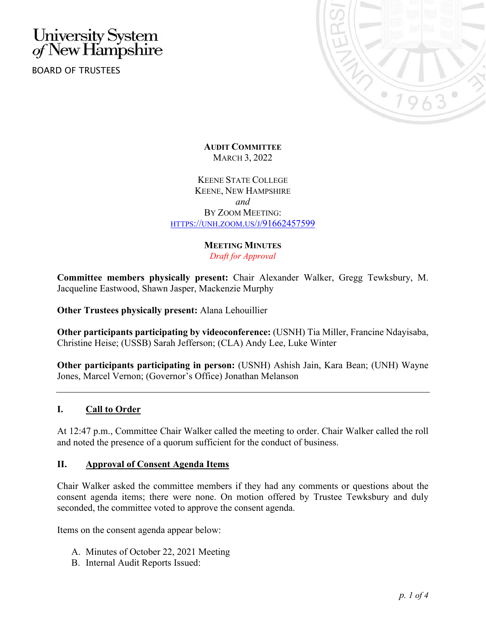# University System<br>of New Hampshire

BOARD OF TRUSTEES



**AUDIT COMMITTEE** MARCH 3, 2022

KEENE STATE COLLEGE KEENE, NEW HAMPSHIRE *and* BY ZOOM MEETING: [HTTPS://UNH.ZOOM.US/J/91662457599](https://unh.zoom.us/j/91662457599)

## **MEETING MINUTES**

*Draft for Approval*

**Committee members physically present:** Chair Alexander Walker, Gregg Tewksbury, M. Jacqueline Eastwood, Shawn Jasper, Mackenzie Murphy

**Other Trustees physically present:** Alana Lehouillier

**Other participants participating by videoconference:** (USNH) Tia Miller, Francine Ndayisaba, Christine Heise; (USSB) Sarah Jefferson; (CLA) Andy Lee, Luke Winter

**Other participants participating in person:** (USNH) Ashish Jain, Kara Bean; (UNH) Wayne Jones, Marcel Vernon; (Governor's Office) Jonathan Melanson

## **I. Call to Order**

At 12:47 p.m., Committee Chair Walker called the meeting to order. Chair Walker called the roll and noted the presence of a quorum sufficient for the conduct of business.

#### **II. Approval of Consent Agenda Items**

Chair Walker asked the committee members if they had any comments or questions about the consent agenda items; there were none. On motion offered by Trustee Tewksbury and duly seconded, the committee voted to approve the consent agenda.

Items on the consent agenda appear below:

- A. Minutes of October 22, 2021 Meeting
- B. Internal Audit Reports Issued: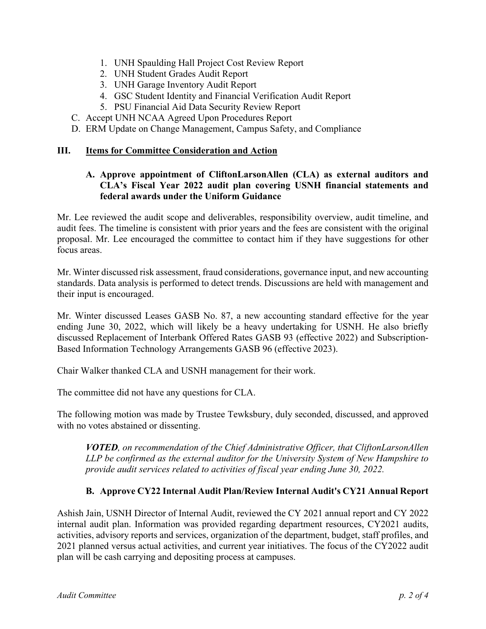- 1. UNH Spaulding Hall Project Cost Review Report
- 2. UNH Student Grades Audit Report
- 3. UNH Garage Inventory Audit Report
- 4. GSC Student Identity and Financial Verification Audit Report
- 5. PSU Financial Aid Data Security Review Report
- C. Accept UNH NCAA Agreed Upon Procedures Report
- D. ERM Update on Change Management, Campus Safety, and Compliance

#### **III. Items for Committee Consideration and Action**

#### **A. Approve appointment of CliftonLarsonAllen (CLA) as external auditors and CLA's Fiscal Year 2022 audit plan covering USNH financial statements and federal awards under the Uniform Guidance**

Mr. Lee reviewed the audit scope and deliverables, responsibility overview, audit timeline, and audit fees. The timeline is consistent with prior years and the fees are consistent with the original proposal. Mr. Lee encouraged the committee to contact him if they have suggestions for other focus areas.

Mr. Winter discussed risk assessment, fraud considerations, governance input, and new accounting standards. Data analysis is performed to detect trends. Discussions are held with management and their input is encouraged.

Mr. Winter discussed Leases GASB No. 87, a new accounting standard effective for the year ending June 30, 2022, which will likely be a heavy undertaking for USNH. He also briefly discussed Replacement of Interbank Offered Rates GASB 93 (effective 2022) and Subscription-Based Information Technology Arrangements GASB 96 (effective 2023).

Chair Walker thanked CLA and USNH management for their work.

The committee did not have any questions for CLA.

The following motion was made by Trustee Tewksbury, duly seconded, discussed, and approved with no votes abstained or dissenting.

*VOTED, on recommendation of the Chief Administrative Officer, that CliftonLarsonAllen LLP be confirmed as the external auditor for the University System of New Hampshire to provide audit services related to activities of fiscal year ending June 30, 2022.*

## **B. Approve CY22 Internal Audit Plan/Review Internal Audit's CY21 Annual Report**

Ashish Jain, USNH Director of Internal Audit, reviewed the CY 2021 annual report and CY 2022 internal audit plan. Information was provided regarding department resources, CY2021 audits, activities, advisory reports and services, organization of the department, budget, staff profiles, and 2021 planned versus actual activities, and current year initiatives. The focus of the CY2022 audit plan will be cash carrying and depositing process at campuses.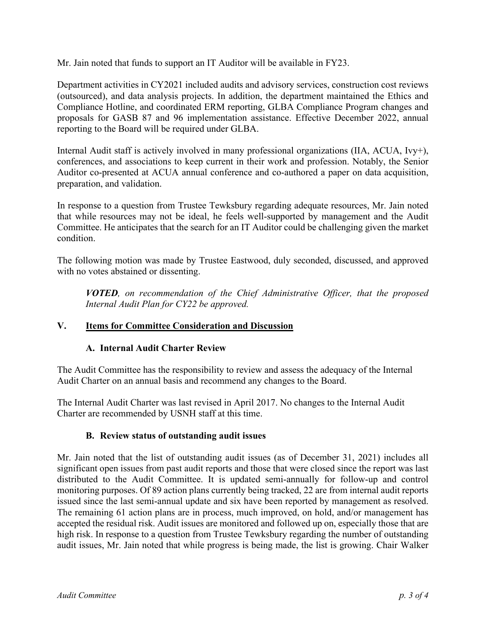Mr. Jain noted that funds to support an IT Auditor will be available in FY23.

Department activities in CY2021 included audits and advisory services, construction cost reviews (outsourced), and data analysis projects. In addition, the department maintained the Ethics and Compliance Hotline, and coordinated ERM reporting, GLBA Compliance Program changes and proposals for GASB 87 and 96 implementation assistance. Effective December 2022, annual reporting to the Board will be required under GLBA.

Internal Audit staff is actively involved in many professional organizations (IIA, ACUA, Ivy+), conferences, and associations to keep current in their work and profession. Notably, the Senior Auditor co-presented at ACUA annual conference and co-authored a paper on data acquisition, preparation, and validation.

In response to a question from Trustee Tewksbury regarding adequate resources, Mr. Jain noted that while resources may not be ideal, he feels well-supported by management and the Audit Committee. He anticipates that the search for an IT Auditor could be challenging given the market condition.

The following motion was made by Trustee Eastwood, duly seconded, discussed, and approved with no votes abstained or dissenting.

*VOTED, on recommendation of the Chief Administrative Officer, that the proposed Internal Audit Plan for CY22 be approved.*

## **V. Items for Committee Consideration and Discussion**

## **A. Internal Audit Charter Review**

The Audit Committee has the responsibility to review and assess the adequacy of the Internal Audit Charter on an annual basis and recommend any changes to the Board.

The Internal Audit Charter was last revised in April 2017. No changes to the Internal Audit Charter are recommended by USNH staff at this time.

## **B. Review status of outstanding audit issues**

Mr. Jain noted that the list of outstanding audit issues (as of December 31, 2021) includes all significant open issues from past audit reports and those that were closed since the report was last distributed to the Audit Committee. It is updated semi-annually for follow-up and control monitoring purposes. Of 89 action plans currently being tracked, 22 are from internal audit reports issued since the last semi-annual update and six have been reported by management as resolved. The remaining 61 action plans are in process, much improved, on hold, and/or management has accepted the residual risk. Audit issues are monitored and followed up on, especially those that are high risk. In response to a question from Trustee Tewksbury regarding the number of outstanding audit issues, Mr. Jain noted that while progress is being made, the list is growing. Chair Walker